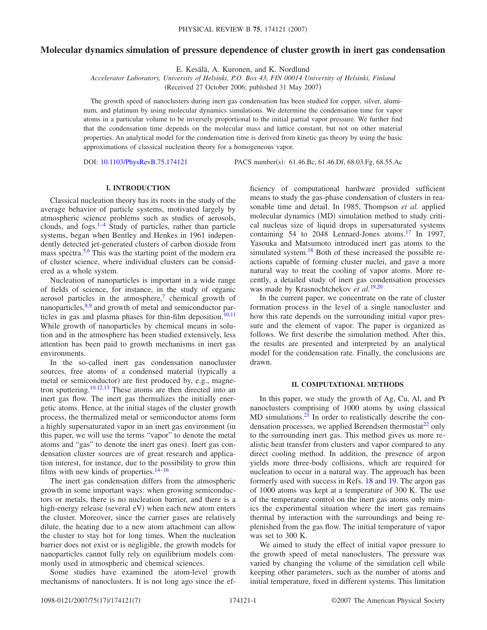# **Molecular dynamics simulation of pressure dependence of cluster growth in inert gas condensation**

E. Kesälä, A. Kuronen, and K. Nordlund

*Accelerator Laboratory, University of Helsinki, P.O. Box 43, FIN 00014 University of Helsinki, Finland*

(Received 27 October 2006; published 31 May 2007)

The growth speed of nanoclusters during inert gas condensation has been studied for copper, silver, aluminum, and platinum by using molecular dynamics simulations. We determine the condensation time for vapor atoms in a particular volume to be inversely proportional to the initial partial vapor pressure. We further find that the condensation time depends on the molecular mass and lattice constant, but not on other material properties. An analytical model for the condensation time is derived from kinetic gas theory by using the basic approximations of classical nucleation theory for a homogeneous vapor.

DOI: [10.1103/PhysRevB.75.174121](http://dx.doi.org/10.1103/PhysRevB.75.174121)

PACS number(s): 61.46.Bc, 61.46.Df, 68.03.Fg, 68.55.Ac

# **I. INTRODUCTION**

Classical nucleation theory has its roots in the study of the average behavior of particle systems, motivated largely by atmospheric science problems such as studies of aerosols, clouds, and fogs. $1-4$  $1-4$  Study of particles, rather than particle systems, began when Bentley and Henkes in 1961 independently detected jet-generated clusters of carbon dioxide from mass spectra[.5,](#page-6-2)[6](#page-6-3) This was the starting point of the modern era of cluster science, where individual clusters can be considered as a whole system.

Nucleation of nanoparticles is important in a wide range of fields of science, for instance, in the study of organic aerosol particles in the atmosphere, $7$  chemical growth of nanoparticles, $8,9$  $8,9$  and growth of metal and semiconductor par-ticles in gas and plasma phases for thin-film deposition.<sup>10,[11](#page-6-8)</sup> While growth of nanoparticles by chemical means in solution and in the atmosphere has been studied extensively, less attention has been paid to growth mechanisms in inert gas environments.

In the so-called inert gas condensation nanocluster sources, free atoms of a condensed material (typically a metal or semiconductor) are first produced by, e.g., magne-tron sputtering.<sup>10,[12,](#page-6-9)[13](#page-6-10)</sup> These atoms are then directed into an inert gas flow. The inert gas thermalizes the initially energetic atoms. Hence, at the initial stages of the cluster growth process, the thermalized metal or semiconductor atoms form a highly supersaturated vapor in an inert gas environment (in this paper, we will use the terms "vapor" to denote the metal atoms and "gas" to denote the inert gas ones). Inert gas condensation cluster sources are of great research and application interest, for instance, due to the possibility to grow thin films with new kinds of properties. $14-16$ 

The inert gas condensation differs from the atmospheric growth in some important ways: when growing semiconductors or metals, there is no nucleation barrier, and there is a high-energy release (several eV) when each new atom enters the cluster. Moreover, since the carrier gases are relatively dilute, the heating due to a new atom attachment can allow the cluster to stay hot for long times. When the nucleation barrier does not exist or is negligible, the growth models for nanoparticles cannot fully rely on equilibrium models commonly used in atmospheric and chemical sciences.

Some studies have examined the atom-level growth mechanisms of nanoclusters. It is not long ago since the efficiency of computational hardware provided sufficient means to study the gas-phase condensation of clusters in reasonable time and detail. In 1985, Thompson *et al.* applied molecular dynamics (MD) simulation method to study critical nucleus size of liquid drops in supersaturated systems containing 54 to 2048 Lennard-Jones atoms. $17 \text{ In } 1997$ , Yasouka and Matsumoto introduced inert gas atoms to the simulated system.<sup>18</sup> Both of these increased the possible reactions capable of forming cluster nuclei, and gave a more natural way to treat the cooling of vapor atoms. More recently, a detailed study of inert gas condensation processes was made by Krasnochtchekov *et al.*[19](#page-6-15)[,20](#page-6-16)

In the current paper, we concentrate on the rate of cluster formation process in the level of a single nanocluster and how this rate depends on the surrounding initial vapor pressure and the element of vapor. The paper is organized as follows. We first describe the simulation method. After this, the results are presented and interpreted by an analytical model for the condensation rate. Finally, the conclusions are drawn.

### **II. COMPUTATIONAL METHODS**

In this paper, we study the growth of Ag, Cu, Al, and Pt nanoclusters comprising of 1000 atoms by using classical  $MD$  simulations.<sup>21</sup> In order to realistically describe the condensation processes, we applied Berendsen thermostat<sup>22</sup> only to the surrounding inert gas. This method gives us more realistic heat transfer from clusters and vapor compared to any direct cooling method. In addition, the presence of argon yields more three-body collisions, which are required for nucleation to occur in a natural way. The approach has been formerly used with success in Refs. [18](#page-6-14) and [19.](#page-6-15) The argon gas of 1000 atoms was kept at a temperature of 300 K. The use of the temperature control on the inert gas atoms only mimics the experimental situation where the inert gas remains thermal by interaction with the surroundings and being replenished from the gas flow. The initial temperature of vapor was set to 300 K.

We aimed to study the effect of initial vapor pressure to the growth speed of metal nanoclusters. The pressure was varied by changing the volume of the simulation cell while keeping other parameters, such as the number of atoms and initial temperature, fixed in different systems. This limitation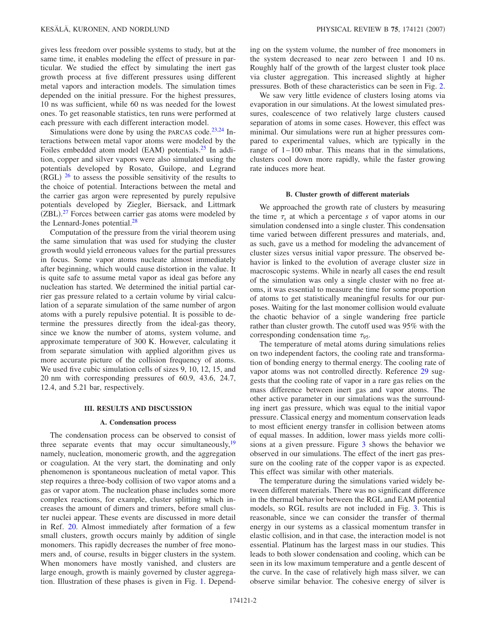gives less freedom over possible systems to study, but at the same time, it enables modeling the effect of pressure in particular. We studied the effect by simulating the inert gas growth process at five different pressures using different metal vapors and interaction models. The simulation times depended on the initial pressure. For the highest pressures, 10 ns was sufficient, while 60 ns was needed for the lowest ones. To get reasonable statistics, ten runs were performed at each pressure with each different interaction model.

Simulations were done by using the PARCAS code. $23,24$  $23,24$  Interactions between metal vapor atoms were modeled by the Foiles embedded atom model (EAM) potentials.<sup>25</sup> In addition, copper and silver vapors were also simulated using the potentials developed by Rosato, Guilope, and Legrand (RGL)  $^{26}$  $^{26}$  $^{26}$  to assess the possible sensitivity of the results to the choice of potential. Interactions between the metal and the carrier gas argon were represented by purely repulsive potentials developed by Ziegler, Biersack, and Littmark  $(ZBL).<sup>27</sup>$  $(ZBL).<sup>27</sup>$  $(ZBL).<sup>27</sup>$  Forces between carrier gas atoms were modeled by the Lennard-Jones potential. $^{28}$ 

Computation of the pressure from the virial theorem using the same simulation that was used for studying the cluster growth would yield erroneous values for the partial pressures in focus. Some vapor atoms nucleate almost immediately after beginning, which would cause distortion in the value. It is quite safe to assume metal vapor as ideal gas before any nucleation has started. We determined the initial partial carrier gas pressure related to a certain volume by virial calculation of a separate simulation of the same number of argon atoms with a purely repulsive potential. It is possible to determine the pressures directly from the ideal-gas theory, since we know the number of atoms, system volume, and approximate temperature of 300 K. However, calculating it from separate simulation with applied algorithm gives us more accurate picture of the collision frequency of atoms. We used five cubic simulation cells of sizes 9, 10, 12, 15, and 20 nm with corresponding pressures of 60.9, 43.6, 24.7, 12.4, and 5.21 bar, respectively.

#### **III. RESULTS AND DISCUSSION**

### **A. Condensation process**

The condensation process can be observed to consist of three separate events that may occur simultaneously,<sup>19</sup> namely, nucleation, monomeric growth, and the aggregation or coagulation. At the very start, the dominating and only phenomenon is spontaneous nucleation of metal vapor. This step requires a three-body collision of two vapor atoms and a gas or vapor atom. The nucleation phase includes some more complex reactions, for example, cluster splitting which increases the amount of dimers and trimers, before small cluster nuclei appear. These events are discussed in more detail in Ref. [20.](#page-6-16) Almost immediately after formation of a few small clusters, growth occurs mainly by addition of single monomers. This rapidly decreases the number of free monomers and, of course, results in bigger clusters in the system. When monomers have mostly vanished, and clusters are large enough, growth is mainly governed by cluster aggregation. Illustration of these phases is given in Fig. [1.](#page-2-0) Depending on the system volume, the number of free monomers in the system decreased to near zero between 1 and 10 ns. Roughly half of the growth of the largest cluster took place via cluster aggregation. This increased slightly at higher pressures. Both of these characteristics can be seen in Fig. [2.](#page-3-0)

We saw very little evidence of clusters losing atoms via evaporation in our simulations. At the lowest simulated pressures, coalescence of two relatively large clusters caused separation of atoms in some cases. However, this effect was minimal. Our simulations were run at higher pressures compared to experimental values, which are typically in the range of  $1-100$  mbar. This means that in the simulations, clusters cool down more rapidly, while the faster growing rate induces more heat.

#### **B. Cluster growth of different materials**

We approached the growth rate of clusters by measuring the time  $\tau_s$  at which a percentage *s* of vapor atoms in our simulation condensed into a single cluster. This condensation time varied between different pressures and materials, and, as such, gave us a method for modeling the advancement of cluster sizes versus initial vapor pressure. The observed behavior is linked to the evolution of average cluster size in macroscopic systems. While in nearly all cases the end result of the simulation was only a single cluster with no free atoms, it was essential to measure the time for some proportion of atoms to get statistically meaningful results for our purposes. Waiting for the last monomer collision would evaluate the chaotic behavior of a single wandering free particle rather than cluster growth. The cutoff used was 95% with the corresponding condensation time  $\tau_{95}$ .

The temperature of metal atoms during simulations relies on two independent factors, the cooling rate and transformation of bonding energy to thermal energy. The cooling rate of vapor atoms was not controlled directly. Reference [29](#page-6-25) suggests that the cooling rate of vapor in a rare gas relies on the mass difference between inert gas and vapor atoms. The other active parameter in our simulations was the surrounding inert gas pressure, which was equal to the initial vapor pressure. Classical energy and momentum conservation leads to most efficient energy transfer in collision between atoms of equal masses. In addition, lower mass yields more collisions at a given pressure. Figure [3](#page-3-1) shows the behavior we observed in our simulations. The effect of the inert gas pressure on the cooling rate of the copper vapor is as expected. This effect was similar with other materials.

The temperature during the simulations varied widely between different materials. There was no significant difference in the thermal behavior between the RGL and EAM potential models, so RGL results are not included in Fig. [3.](#page-3-1) This is reasonable, since we can consider the transfer of thermal energy in our systems as a classical momentum transfer in elastic collision, and in that case, the interaction model is not essential. Platinum has the largest mass in our studies. This leads to both slower condensation and cooling, which can be seen in its low maximum temperature and a gentle descent of the curve. In the case of relatively high mass silver, we can observe similar behavior. The cohesive energy of silver is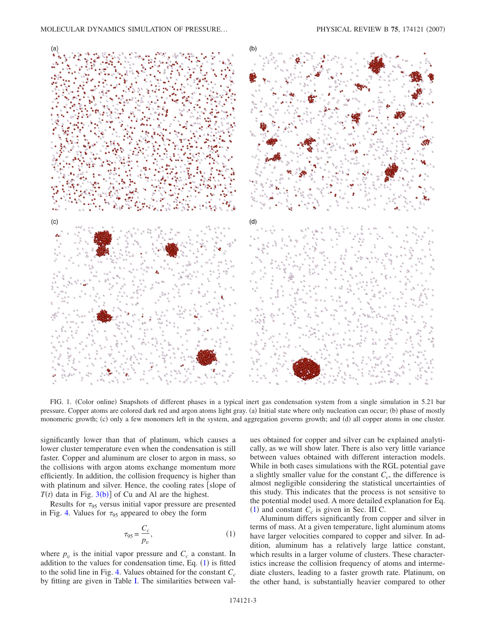<span id="page-2-0"></span>

FIG. 1. (Color online) Snapshots of different phases in a typical inert gas condensation system from a single simulation in 5.21 bar pressure. Copper atoms are colored dark red and argon atoms light gray. (a) Initial state where only nucleation can occur; (b) phase of mostly monomeric growth; (c) only a few monomers left in the system, and aggregation governs growth; and (d) all copper atoms in one cluster.

significantly lower than that of platinum, which causes a lower cluster temperature even when the condensation is still faster. Copper and aluminum are closer to argon in mass, so the collisions with argon atoms exchange momentum more efficiently. In addition, the collision frequency is higher than with platinum and silver. Hence, the cooling rates [slope of  $T(t)$  data in Fig. [3](#page-3-1)(b)] of Cu and Al are the highest.

<span id="page-2-1"></span>Results for  $\tau_{95}$  versus initial vapor pressure are presented in Fig. [4.](#page-4-0) Values for  $\tau_{95}$  appeared to obey the form

$$
\tau_{95} = \frac{C_c}{p_v},\tag{1}
$$

where  $p_v$  is the initial vapor pressure and  $C_c$  a constant. In addition to the values for condensation time, Eq.  $(1)$  $(1)$  $(1)$  is fitted to the solid line in Fig. [4.](#page-4-0) Values obtained for the constant  $C_c$ by fitting are given in Table [I.](#page-4-1) The similarities between values obtained for copper and silver can be explained analytically, as we will show later. There is also very little variance between values obtained with different interaction models. While in both cases simulations with the RGL potential gave a slightly smaller value for the constant  $C_c$ , the difference is almost negligible considering the statistical uncertainties of this study. This indicates that the process is not sensitive to the potential model used. A more detailed explanation for Eq. ([1](#page-2-1)) and constant  $C_c$  is given in Sec. III C.

Aluminum differs significantly from copper and silver in terms of mass. At a given temperature, light aluminum atoms have larger velocities compared to copper and silver. In addition, aluminum has a relatively large lattice constant, which results in a larger volume of clusters. These characteristics increase the collision frequency of atoms and intermediate clusters, leading to a faster growth rate. Platinum, on the other hand, is substantially heavier compared to other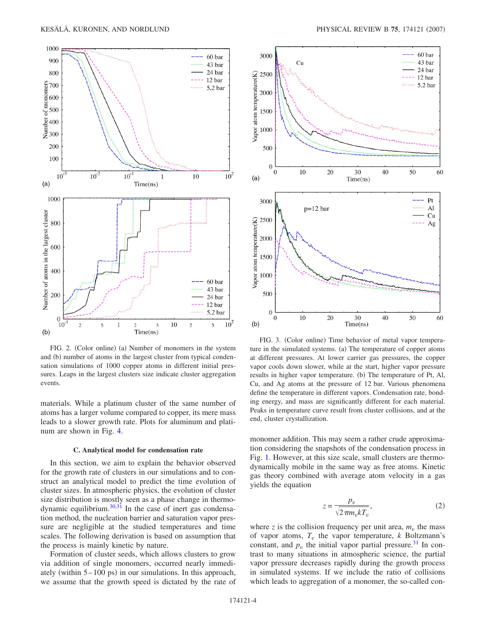<span id="page-3-0"></span>

FIG. 2. (Color online) (a) Number of monomers in the system and (b) number of atoms in the largest cluster from typical condensation simulations of 1000 copper atoms in different initial pressures. Leaps in the largest clusters size indicate cluster aggregation events.

materials. While a platinum cluster of the same number of atoms has a larger volume compared to copper, its mere mass leads to a slower growth rate. Plots for aluminum and platinum are shown in Fig. [4.](#page-4-0)

#### **C. Analytical model for condensation rate**

In this section, we aim to explain the behavior observed for the growth rate of clusters in our simulations and to construct an analytical model to predict the time evolution of cluster sizes. In atmospheric physics, the evolution of cluster size distribution is mostly seen as a phase change in thermo-dynamic equilibrium.<sup>30,[31](#page-6-27)</sup> In the case of inert gas condensation method, the nucleation barrier and saturation vapor pressure are negligible at the studied temperatures and time scales. The following derivation is based on assumption that the process is mainly kinetic by nature.

Formation of cluster seeds, which allows clusters to grow via addition of single monomers, occurred nearly immediately (within 5-100 ps) in our simulations. In this approach, we assume that the growth speed is dictated by the rate of

<span id="page-3-1"></span>

FIG. 3. (Color online) Time behavior of metal vapor temperature in the simulated systems. (a) The temperature of copper atoms at different pressures. At lower carrier gas pressures, the copper vapor cools down slower, while at the start, higher vapor pressure results in higher vapor temperature. (b) The temperature of Pt, Al, Cu, and Ag atoms at the pressure of 12 bar. Various phenomena define the temperature in different vapors. Condensation rate, bonding energy, and mass are significantly different for each material. Peaks in temperature curve result from cluster collisions, and at the end, cluster crystallization.

monomer addition. This may seem a rather crude approximation considering the snapshots of the condensation process in Fig. [1.](#page-2-0) However, at this size scale, small clusters are thermodynamically mobile in the same way as free atoms. Kinetic gas theory combined with average atom velocity in a gas yields the equation

$$
z = \frac{p_v}{\sqrt{2\pi m_v k T_v}},\tag{2}
$$

<span id="page-3-2"></span>where *z* is the collision frequency per unit area,  $m<sub>v</sub>$ , the mass of vapor atoms,  $T_v$  the vapor temperature,  $k$  Boltzmann's constant, and  $p_v$  the initial vapor partial pressure.<sup>31</sup> In contrast to many situations in atmospheric science, the partial vapor pressure decreases rapidly during the growth process in simulated systems. If we include the ratio of collisions which leads to aggregation of a monomer, the so-called con-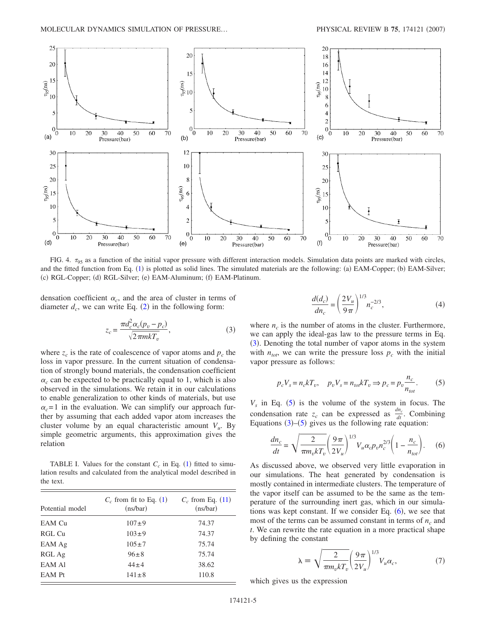<span id="page-4-0"></span>

FIG. 4.  $\tau_{95}$  as a function of the initial vapor pressure with different interaction models. Simulation data points are marked with circles, and the fitted function from Eq. ([1](#page-2-1)) is plotted as solid lines. The simulated materials are the following: (a) EAM-Copper; (b) EAM-Silver; (c) RGL-Copper; (d) RGL-Silver; (e) EAM-Aluminum; (f) EAM-Platinum.

<span id="page-4-2"></span>densation coefficient  $\alpha_c$ , and the area of cluster in terms of diameter  $d_c$ , we can write Eq. ([2](#page-3-2)) in the following form:

$$
z_c = \frac{\pi d_c^2 \alpha_c (p_v - p_c)}{\sqrt{2\pi m k T_v}},
$$
\n(3)

where  $z_c$  is the rate of coalescence of vapor atoms and  $p_c$  the loss in vapor pressure. In the current situation of condensation of strongly bound materials, the condensation coefficient  $\alpha_c$  can be expected to be practically equal to 1, which is also observed in the simulations. We retain it in our calculations to enable generalization to other kinds of materials, but use  $\alpha_c = 1$  in the evaluation. We can simplify our approach further by assuming that each added vapor atom increases the cluster volume by an equal characteristic amount *Vu*. By simple geometric arguments, this approximation gives the relation

<span id="page-4-1"></span>TABLE I. Values for the constant  $C_c$  in Eq. ([1](#page-2-1)) fitted to simulation results and calculated from the analytical model described in the text.

| Potential model | $C_c$ from fit to Eq. (1)<br>(ns/bar) | $C_c$ from Eq. (11)<br>(ns/bar) |
|-----------------|---------------------------------------|---------------------------------|
| EAM Cu          | $107+9$                               | 74.37                           |
| RGL Cu          | $103 + 9$                             | 74.37                           |
| EAM Ag          | $105 \pm 7$                           | 75.74                           |
| RGL Ag          | $96 \pm 8$                            | 75.74                           |
| EAM AI          | $44 \pm 4$                            | 38.62                           |
| EAM Pt          | $141 \pm 8$                           | 110.8                           |

$$
\frac{d(d_c)}{dn_c} = \left(\frac{2V_u}{9\pi}\right)^{1/3} n_c^{-2/3},\tag{4}
$$

<span id="page-4-5"></span>where  $n_c$  is the number of atoms in the cluster. Furthermore, we can apply the ideal-gas law to the pressure terms in Eq. ([3](#page-4-2)). Denoting the total number of vapor atoms in the system with  $n_{tot}$ , we can write the pressure loss  $p_c$  with the initial vapor pressure as follows:

$$
p_c V_s = n_c k T_v, \quad p_v V_s = n_{tot} k T_v \Rightarrow p_c = p_v \frac{n_c}{n_{tot}}.
$$
 (5)

<span id="page-4-3"></span> $V<sub>s</sub>$  in Eq. ([5](#page-4-3)) is the volume of the system in focus. The condensation rate  $z_c$  can be expressed as  $\frac{dn_c}{dt}$ . Combining Equations  $(3)$  $(3)$  $(3)$ – $(5)$  $(5)$  $(5)$  gives us the following rate equation:

<span id="page-4-4"></span>
$$
\frac{dn_c}{dt} = \sqrt{\frac{2}{\pi m_v k T_v}} \left(\frac{9\pi}{2V_u}\right)^{1/3} V_u \alpha_c p_v n_c^{2/3} \left(1 - \frac{n_c}{n_{tot}}\right). \tag{6}
$$

As discussed above, we observed very little evaporation in our simulations. The heat generated by condensation is mostly contained in intermediate clusters. The temperature of the vapor itself can be assumed to be the same as the temperature of the surrounding inert gas, which in our simulations was kept constant. If we consider Eq.  $(6)$  $(6)$  $(6)$ , we see that most of the terms can be assumed constant in terms of  $n_c$  and *t*. We can rewrite the rate equation in a more practical shape by defining the constant

$$
\lambda = \sqrt{\frac{2}{\pi m_v k T_v}} \left(\frac{9\pi}{2V_u}\right)^{1/3} V_u \alpha_c, \tag{7}
$$

which gives us the expression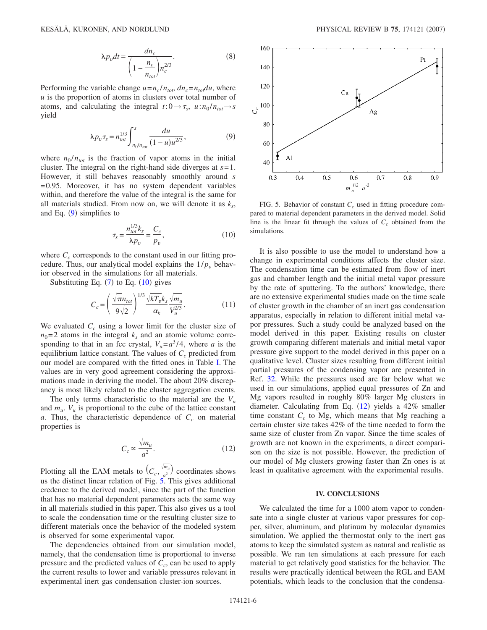$$
\lambda p_v dt = \frac{dn_c}{\left(1 - \frac{n_c}{n_{tot}}\right) n_c^{2/3}}.
$$
\n(8)

Performing the variable change  $u = n_c / n_{tot}$ ,  $dn_c = n_{tot} du$ , where *u* is the proportion of atoms in clusters over total number of atoms, and calculating the integral  $t:0 \rightarrow \tau_s$ ,  $u: n_0/n_{tot} \rightarrow s$ yield

$$
\lambda p_v \tau_s = n_{tot}^{1/3} \int_{n_0/n_{tot}}^s \frac{du}{(1-u)u^{2/3}},
$$
\n(9)

<span id="page-5-1"></span>where  $n_0 / n_{tot}$  is the fraction of vapor atoms in the initial cluster. The integral on the right-hand side diverges at *s*=1. However, it still behaves reasonably smoothly around *s* =0.95. Moreover, it has no system dependent variables within, and therefore the value of the integral is the same for all materials studied. From now on, we will denote it as  $k_s$ , and Eq.  $(9)$  $(9)$  $(9)$  simplifies to

$$
\tau_s = \frac{n_{tot}^{1/3} k_s}{\lambda p_v} = \frac{C_c}{p_v},\tag{10}
$$

<span id="page-5-2"></span>where  $C_c$  corresponds to the constant used in our fitting procedure. Thus, our analytical model explains the  $1/p<sub>p</sub>$  behavior observed in the simulations for all materials.

<span id="page-5-0"></span>Substituting Eq.  $(7)$  $(7)$  $(7)$  to Eq.  $(10)$  $(10)$  $(10)$  gives

$$
C_c = \left(\frac{\sqrt{\pi n_{tot}}}{9\sqrt{2}}\right)^{1/3} \frac{\sqrt{kT_v} k_s}{\alpha_k} \frac{\sqrt{m_u}}{V_u^{2/3}}.
$$
 (11)

We evaluated  $C_c$  using a lower limit for the cluster size of  $n_0$ =2 atoms in the integral  $k_s$  and an atomic volume corresponding to that in an fcc crystal,  $V_u = a^3 / 4$ , where *a* is the equilibrium lattice constant. The values of  $C_c$  predicted from our model are compared with the fitted ones in Table [I.](#page-4-1) The values are in very good agreement considering the approximations made in deriving the model. The about 20% discrepancy is most likely related to the cluster aggregation events.

The only terms characteristic to the material are the  $V_u$ and  $m_u$ .  $V_u$  is proportional to the cube of the lattice constant *a*. Thus, the characteristic dependence of  $C_c$  on material properties is

$$
C_c \propto \frac{\sqrt{m_u}}{a^2}.\tag{12}
$$

<span id="page-5-4"></span>Plotting all the EAM metals to  $\left(C_c, \frac{\sqrt{m_u}}{a^2}\right)$  coordinates shows us the distinct linear relation of Fig. [5.](#page-5-3) This gives additional credence to the derived model, since the part of the function that has no material dependent parameters acts the same way in all materials studied in this paper. This also gives us a tool to scale the condensation time or the resulting cluster size to different materials once the behavior of the modeled system is observed for some experimental vapor.

The dependencies obtained from our simulation model, namely, that the condensation time is proportional to inverse pressure and the predicted values of  $C_c$ , can be used to apply the current results to lower and variable pressures relevant in experimental inert gas condensation cluster-ion sources.

<span id="page-5-3"></span>

FIG. 5. Behavior of constant  $C_c$  used in fitting procedure compared to material dependent parameters in the derived model. Solid line is the linear fit through the values of  $C_c$  obtained from the simulations.

It is also possible to use the model to understand how a change in experimental conditions affects the cluster size. The condensation time can be estimated from flow of inert gas and chamber length and the initial metal vapor pressure by the rate of sputtering. To the authors' knowledge, there are no extensive experimental studies made on the time scale of cluster growth in the chamber of an inert gas condensation apparatus, especially in relation to different initial metal vapor pressures. Such a study could be analyzed based on the model derived in this paper. Existing results on cluster growth comparing different materials and initial metal vapor pressure give support to the model derived in this paper on a qualitative level. Cluster sizes resulting from different initial partial pressures of the condensing vapor are presented in Ref. [32.](#page-6-28) While the pressures used are far below what we used in our simulations, applied equal pressures of Zn and Mg vapors resulted in roughly 80% larger Mg clusters in diameter. Calculating from Eq.  $(12)$  $(12)$  $(12)$  yields a 42% smaller time constant  $C_c$  to Mg, which means that Mg reaching a certain cluster size takes 42% of the time needed to form the same size of cluster from Zn vapor. Since the time scales of growth are not known in the experiments, a direct comparison on the size is not possible. However, the prediction of our model of Mg clusters growing faster than Zn ones is at least in qualitative agreement with the experimental results.

## **IV. CONCLUSIONS**

We calculated the time for a 1000 atom vapor to condensate into a single cluster at various vapor pressures for copper, silver, aluminum, and platinum by molecular dynamics simulation. We applied the thermostat only to the inert gas atoms to keep the simulated system as natural and realistic as possible. We ran ten simulations at each pressure for each material to get relatively good statistics for the behavior. The results were practically identical between the RGL and EAM potentials, which leads to the conclusion that the condensa-